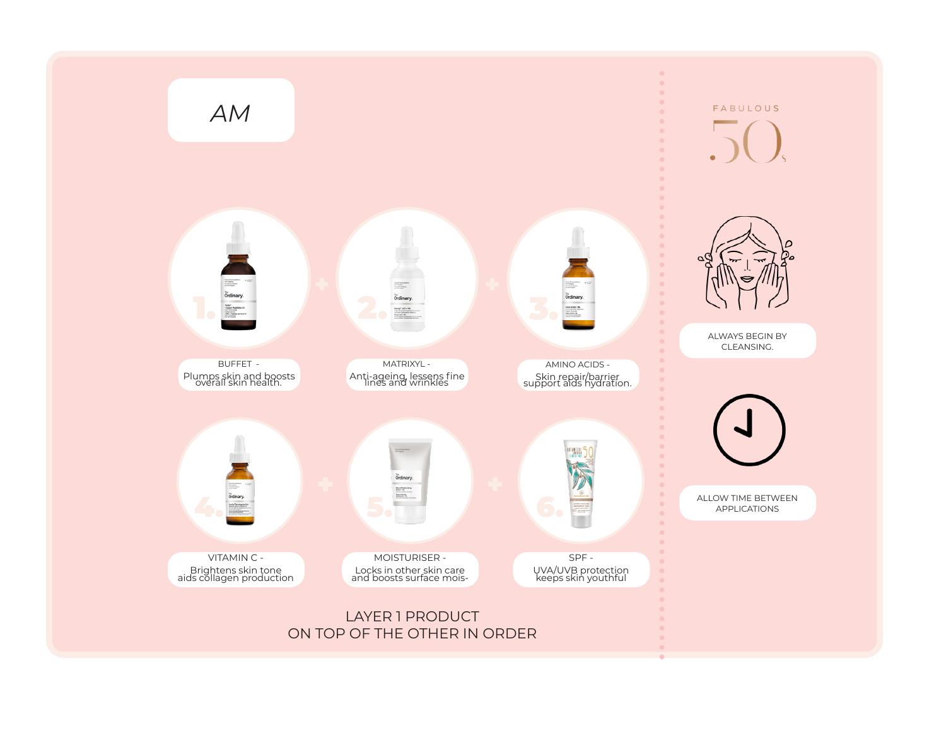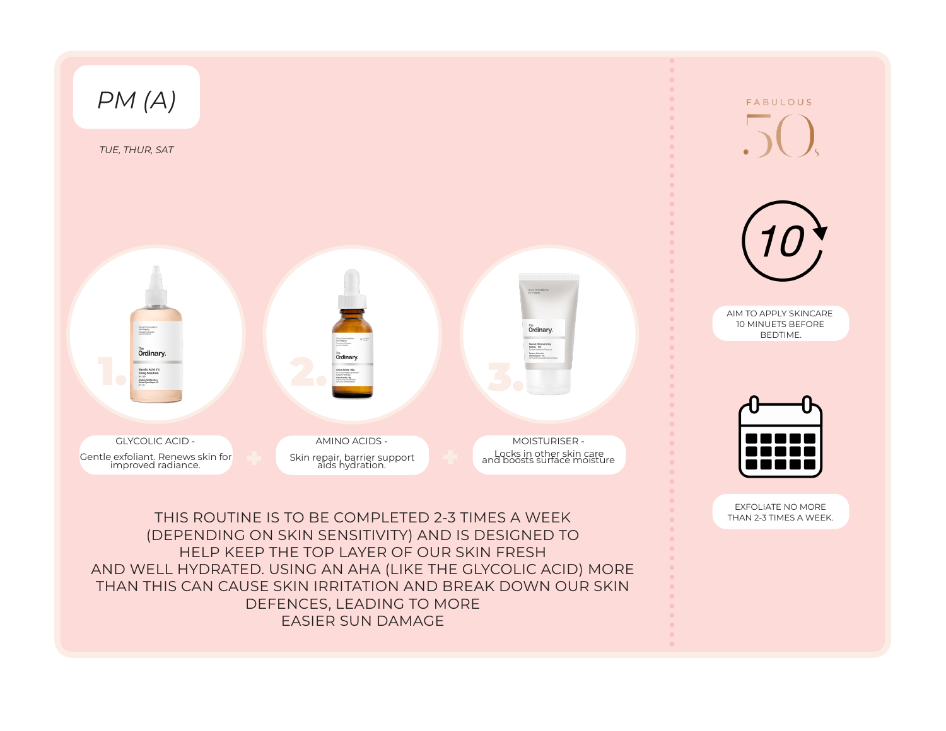

EASIER SUN DAMAGE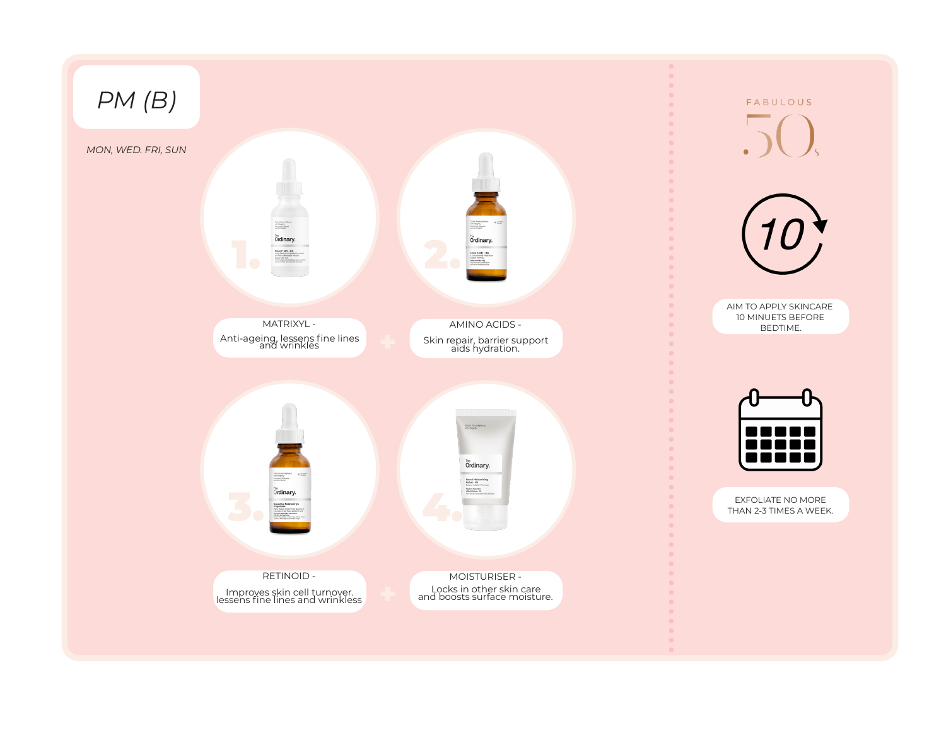